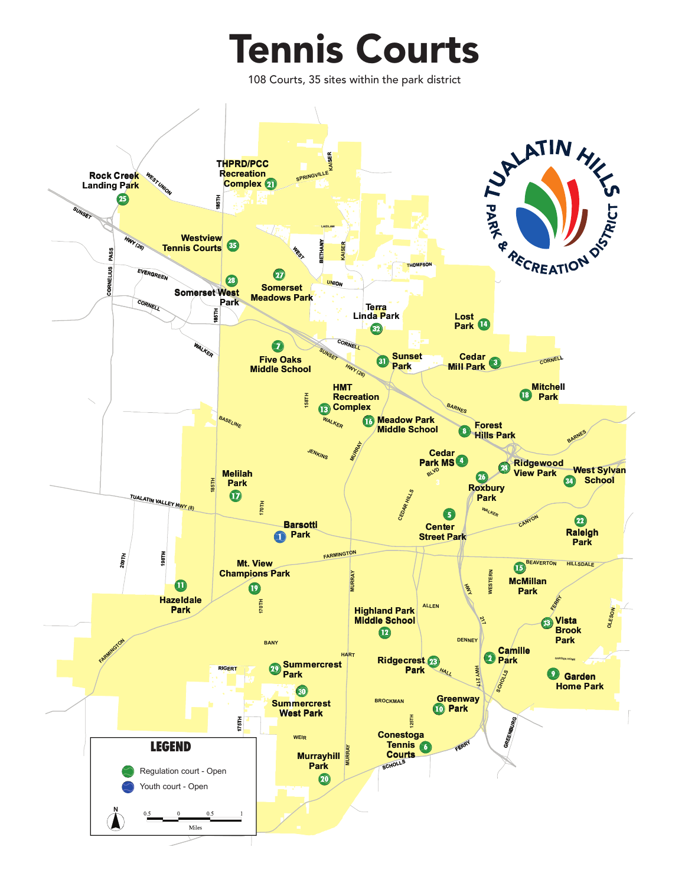## **Tennis Courts**

108 Courts, 35 sites within the park district